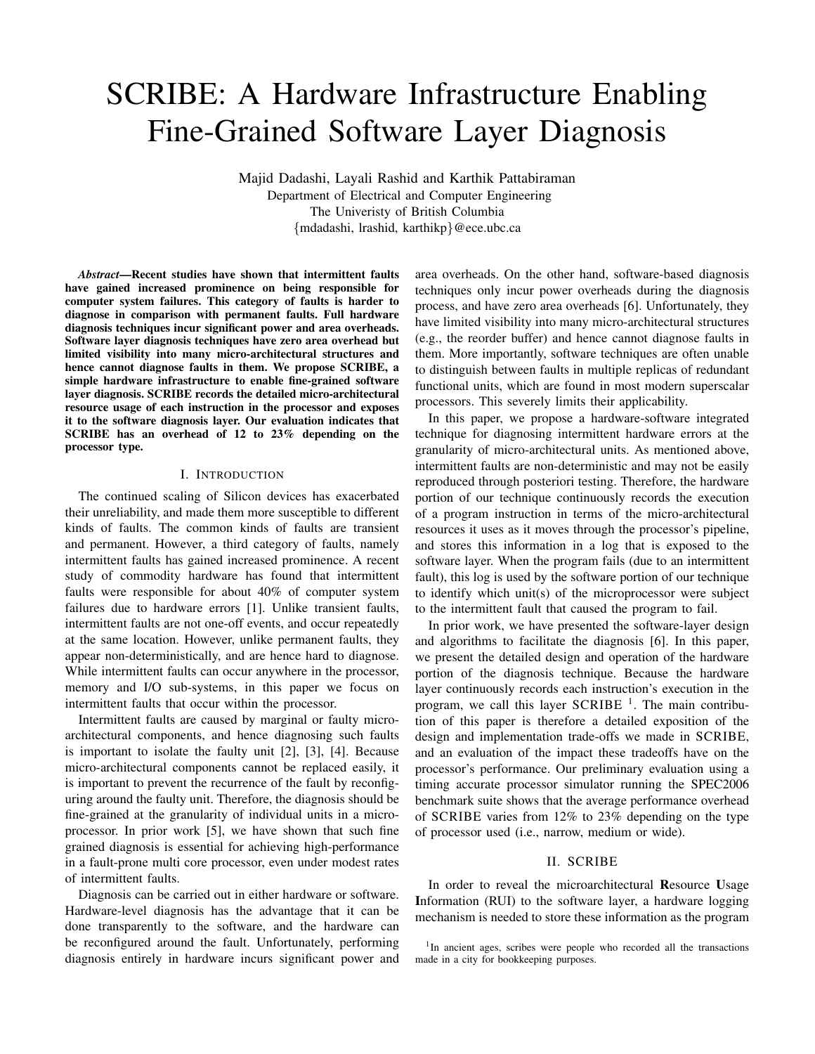# SCRIBE: A Hardware Infrastructure Enabling Fine-Grained Software Layer Diagnosis

Majid Dadashi, Layali Rashid and Karthik Pattabiraman Department of Electrical and Computer Engineering The Univeristy of British Columbia *{*mdadashi, lrashid, karthikp*}*@ece.ubc.ca

*Abstract*—Recent studies have shown that intermittent faults have gained increased prominence on being responsible for computer system failures. This category of faults is harder to diagnose in comparison with permanent faults. Full hardware diagnosis techniques incur significant power and area overheads. Software layer diagnosis techniques have zero area overhead but limited visibility into many micro-architectural structures and hence cannot diagnose faults in them. We propose SCRIBE, a simple hardware infrastructure to enable fine-grained software layer diagnosis. SCRIBE records the detailed micro-architectural resource usage of each instruction in the processor and exposes it to the software diagnosis layer. Our evaluation indicates that SCRIBE has an overhead of 12 to 23% depending on the processor type.

# I. INTRODUCTION

The continued scaling of Silicon devices has exacerbated their unreliability, and made them more susceptible to different kinds of faults. The common kinds of faults are transient and permanent. However, a third category of faults, namely intermittent faults has gained increased prominence. A recent study of commodity hardware has found that intermittent faults were responsible for about 40% of computer system failures due to hardware errors [1]. Unlike transient faults, intermittent faults are not one-off events, and occur repeatedly at the same location. However, unlike permanent faults, they appear non-deterministically, and are hence hard to diagnose. While intermittent faults can occur anywhere in the processor, memory and I/O sub-systems, in this paper we focus on intermittent faults that occur within the processor.

Intermittent faults are caused by marginal or faulty microarchitectural components, and hence diagnosing such faults is important to isolate the faulty unit [2], [3], [4]. Because micro-architectural components cannot be replaced easily, it is important to prevent the recurrence of the fault by reconfiguring around the faulty unit. Therefore, the diagnosis should be fine-grained at the granularity of individual units in a microprocessor. In prior work [5], we have shown that such fine grained diagnosis is essential for achieving high-performance in a fault-prone multi core processor, even under modest rates of intermittent faults.

Diagnosis can be carried out in either hardware or software. Hardware-level diagnosis has the advantage that it can be done transparently to the software, and the hardware can be reconfigured around the fault. Unfortunately, performing diagnosis entirely in hardware incurs significant power and area overheads. On the other hand, software-based diagnosis techniques only incur power overheads during the diagnosis process, and have zero area overheads [6]. Unfortunately, they have limited visibility into many micro-architectural structures (e.g., the reorder buffer) and hence cannot diagnose faults in them. More importantly, software techniques are often unable to distinguish between faults in multiple replicas of redundant functional units, which are found in most modern superscalar processors. This severely limits their applicability.

In this paper, we propose a hardware-software integrated technique for diagnosing intermittent hardware errors at the granularity of micro-architectural units. As mentioned above, intermittent faults are non-deterministic and may not be easily reproduced through posteriori testing. Therefore, the hardware portion of our technique continuously records the execution of a program instruction in terms of the micro-architectural resources it uses as it moves through the processor's pipeline, and stores this information in a log that is exposed to the software layer. When the program fails (due to an intermittent fault), this log is used by the software portion of our technique to identify which unit(s) of the microprocessor were subject to the intermittent fault that caused the program to fail.

In prior work, we have presented the software-layer design and algorithms to facilitate the diagnosis [6]. In this paper, we present the detailed design and operation of the hardware portion of the diagnosis technique. Because the hardware layer continuously records each instruction's execution in the program, we call this layer SCRIBE  $<sup>1</sup>$ . The main contribu-</sup> tion of this paper is therefore a detailed exposition of the design and implementation trade-offs we made in SCRIBE, and an evaluation of the impact these tradeoffs have on the processor's performance. Our preliminary evaluation using a timing accurate processor simulator running the SPEC2006 benchmark suite shows that the average performance overhead of SCRIBE varies from 12% to 23% depending on the type of processor used (i.e., narrow, medium or wide).

#### II. SCRIBE

In order to reveal the microarchitectural Resource Usage Information (RUI) to the software layer, a hardware logging mechanism is needed to store these information as the program

<sup>&</sup>lt;sup>1</sup>In ancient ages, scribes were people who recorded all the transactions made in a city for bookkeeping purposes.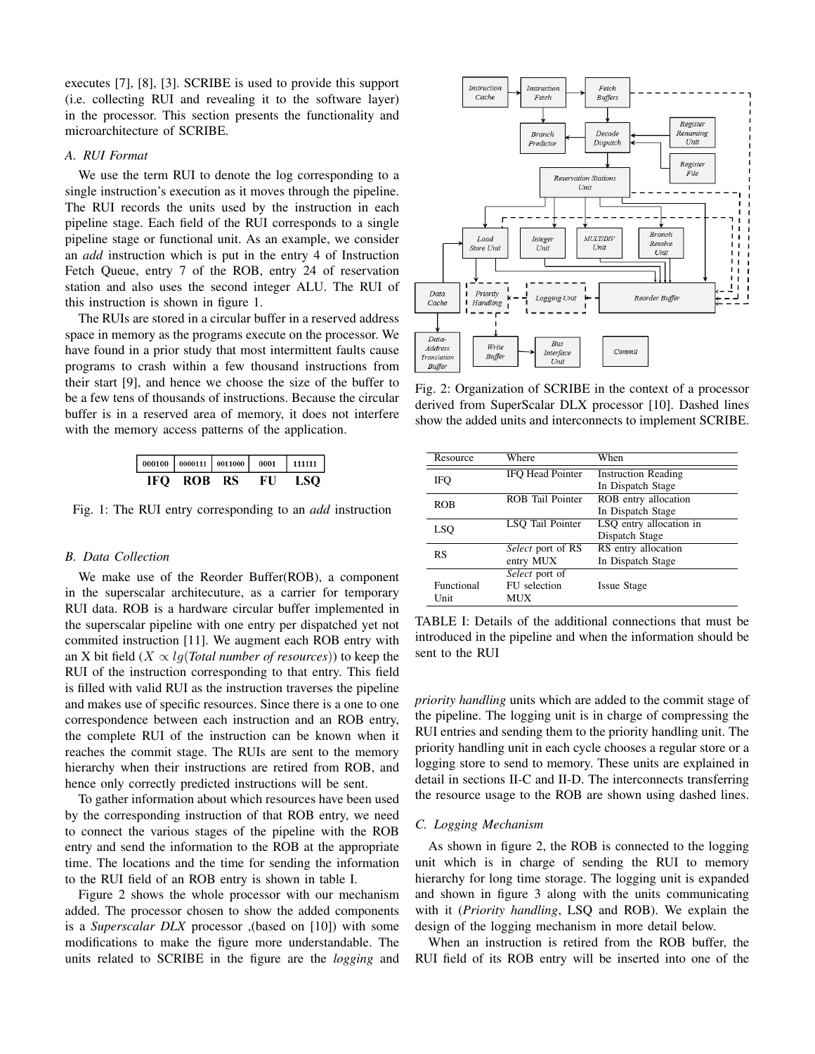executes [7], [8], [3]. SCRIBE is used to provide this support (i.e. collecting RUI and revealing it to the software layer) in the processor. This section presents the functionality and microarchitecture of SCRIBE.

# *A. RUI Format*

We use the term RUI to denote the log corresponding to a single instruction's execution as it moves through the pipeline. The RUI records the units used by the instruction in each pipeline stage. Each field of the RUI corresponds to a single pipeline stage or functional unit. As an example, we consider an *add* instruction which is put in the entry 4 of Instruction Fetch Queue, entry 7 of the ROB, entry 24 of reservation station and also uses the second integer ALU. The RUI of this instruction is shown in figure 1.

The RUIs are stored in a circular buffer in a reserved address space in memory as the programs execute on the processor. We have found in a prior study that most intermittent faults cause programs to crash within a few thousand instructions from their start [9], and hence we choose the size of the buffer to be a few tens of thousands of instructions. Because the circular buffer is in a reserved area of memory, it does not interfere with the memory access patterns of the application.

| IFO- | ROB RS | FU | LSO. |
|------|--------|----|------|

Fig. 1: The RUI entry corresponding to an *add* instruction

# *B. Data Collection*

We make use of the Reorder Buffer(ROB), a component in the superscalar architecuture, as a carrier for temporary RUI data. ROB is a hardware circular buffer implemented in the superscalar pipeline with one entry per dispatched yet not commited instruction [11]. We augment each ROB entry with an X bit field  $(X \propto lq(Total number of resources))$  to keep the RUI of the instruction corresponding to that entry. This field is filled with valid RUI as the instruction traverses the pipeline and makes use of specific resources. Since there is a one to one correspondence between each instruction and an ROB entry, the complete RUI of the instruction can be known when it reaches the commit stage. The RUIs are sent to the memory hierarchy when their instructions are retired from ROB, and hence only correctly predicted instructions will be sent.

To gather information about which resources have been used by the corresponding instruction of that ROB entry, we need to connect the various stages of the pipeline with the ROB entry and send the information to the ROB at the appropriate time. The locations and the time for sending the information to the RUI field of an ROB entry is shown in table I.

Figure 2 shows the whole processor with our mechanism added. The processor chosen to show the added components is a *Superscalar DLX* processor ,(based on [10]) with some modifications to make the figure more understandable. The units related to SCRIBE in the figure are the *logging* and



Fig. 2: Organization of SCRIBE in the context of a processor derived from SuperScalar DLX processor [10]. Dashed lines show the added units and interconnects to implement SCRIBE.

| Resource   | Where                   | When                       |  |
|------------|-------------------------|----------------------------|--|
| IFO        | <b>IFO Head Pointer</b> | <b>Instruction Reading</b> |  |
|            |                         | In Dispatch Stage          |  |
| ROB        | <b>ROB</b> Tail Pointer | ROB entry allocation       |  |
|            |                         | In Dispatch Stage          |  |
| LSO        | LSO Tail Pointer        | LSQ entry allocation in    |  |
|            |                         | Dispatch Stage             |  |
| RS         | Select port of RS       | RS entry allocation        |  |
|            | entry MUX               | In Dispatch Stage          |  |
|            | Select port of          |                            |  |
| Functional | FU selection            | <b>Issue Stage</b>         |  |
| Unit       | MUX                     |                            |  |

TABLE I: Details of the additional connections that must be introduced in the pipeline and when the information should be sent to the RUI

*priority handling* units which are added to the commit stage of the pipeline. The logging unit is in charge of compressing the RUI entries and sending them to the priority handling unit. The priority handling unit in each cycle chooses a regular store or a logging store to send to memory. These units are explained in detail in sections II-C and II-D. The interconnects transferring the resource usage to the ROB are shown using dashed lines.

# *C. Logging Mechanism*

As shown in figure 2, the ROB is connected to the logging unit which is in charge of sending the RUI to memory hierarchy for long time storage. The logging unit is expanded and shown in figure 3 along with the units communicating with it (*Priority handling*, LSQ and ROB). We explain the design of the logging mechanism in more detail below.

When an instruction is retired from the ROB buffer, the RUI field of its ROB entry will be inserted into one of the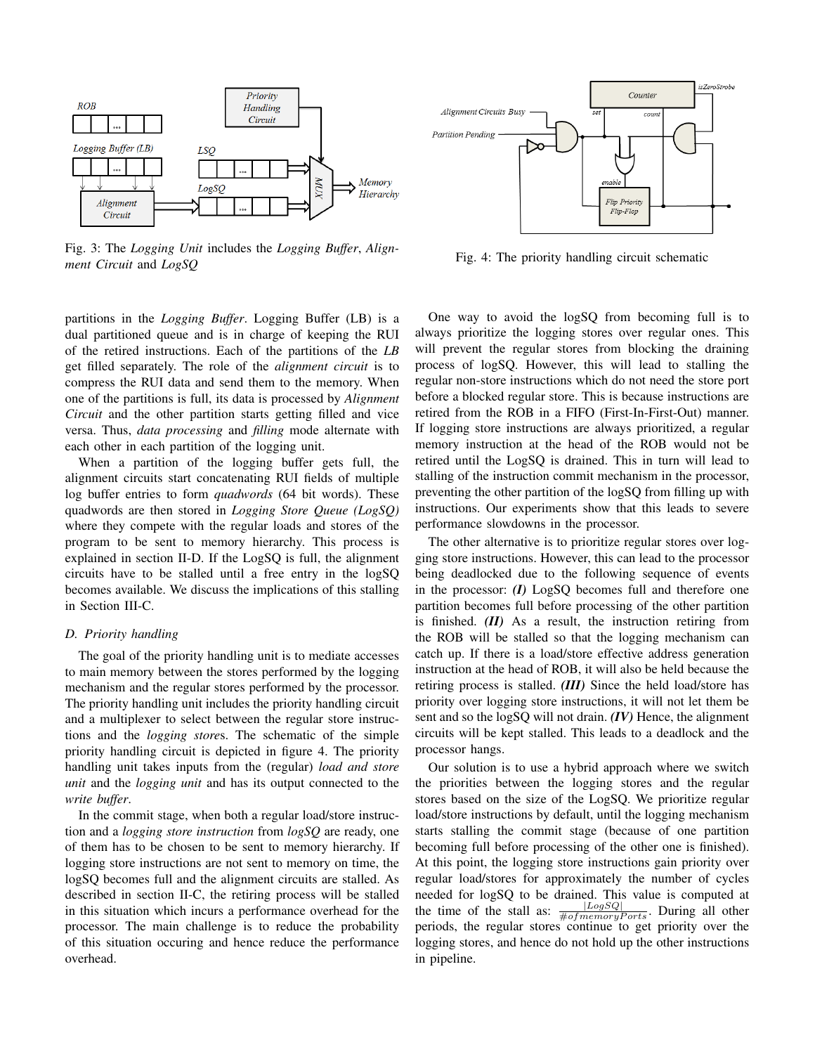

Fig. 3: The *Logging Unit* includes the *Logging Buffer*, *Alignment Circuit* and *LogSQ*

partitions in the *Logging Buffer*. Logging Buffer (LB) is a dual partitioned queue and is in charge of keeping the RUI of the retired instructions. Each of the partitions of the *LB* get filled separately. The role of the *alignment circuit* is to compress the RUI data and send them to the memory. When one of the partitions is full, its data is processed by *Alignment Circuit* and the other partition starts getting filled and vice versa. Thus, *data processing* and *filling* mode alternate with each other in each partition of the logging unit.

When a partition of the logging buffer gets full, the alignment circuits start concatenating RUI fields of multiple log buffer entries to form *quadwords* (64 bit words). These quadwords are then stored in *Logging Store Queue (LogSQ)* where they compete with the regular loads and stores of the program to be sent to memory hierarchy. This process is explained in section II-D. If the LogSQ is full, the alignment circuits have to be stalled until a free entry in the logSQ becomes available. We discuss the implications of this stalling in Section III-C.

#### *D. Priority handling*

The goal of the priority handling unit is to mediate accesses to main memory between the stores performed by the logging mechanism and the regular stores performed by the processor. The priority handling unit includes the priority handling circuit and a multiplexer to select between the regular store instructions and the *logging store*s. The schematic of the simple priority handling circuit is depicted in figure 4. The priority handling unit takes inputs from the (regular) *load and store unit* and the *logging unit* and has its output connected to the *write buffer*.

In the commit stage, when both a regular load/store instruction and a *logging store instruction* from *logSQ* are ready, one of them has to be chosen to be sent to memory hierarchy. If logging store instructions are not sent to memory on time, the logSQ becomes full and the alignment circuits are stalled. As described in section II-C, the retiring process will be stalled in this situation which incurs a performance overhead for the processor. The main challenge is to reduce the probability of this situation occuring and hence reduce the performance overhead.



Fig. 4: The priority handling circuit schematic

One way to avoid the logSQ from becoming full is to always prioritize the logging stores over regular ones. This will prevent the regular stores from blocking the draining process of logSQ. However, this will lead to stalling the regular non-store instructions which do not need the store port before a blocked regular store. This is because instructions are retired from the ROB in a FIFO (First-In-First-Out) manner. If logging store instructions are always prioritized, a regular memory instruction at the head of the ROB would not be retired until the LogSQ is drained. This in turn will lead to stalling of the instruction commit mechanism in the processor, preventing the other partition of the logSQ from filling up with instructions. Our experiments show that this leads to severe performance slowdowns in the processor.

The other alternative is to prioritize regular stores over logging store instructions. However, this can lead to the processor being deadlocked due to the following sequence of events in the processor: *(I)* LogSQ becomes full and therefore one partition becomes full before processing of the other partition is finished. *(II)* As a result, the instruction retiring from the ROB will be stalled so that the logging mechanism can catch up. If there is a load/store effective address generation instruction at the head of ROB, it will also be held because the retiring process is stalled. *(III)* Since the held load/store has priority over logging store instructions, it will not let them be sent and so the logSQ will not drain. *(IV)* Hence, the alignment circuits will be kept stalled. This leads to a deadlock and the processor hangs.

Our solution is to use a hybrid approach where we switch the priorities between the logging stores and the regular stores based on the size of the LogSQ. We prioritize regular load/store instructions by default, until the logging mechanism starts stalling the commit stage (because of one partition becoming full before processing of the other one is finished). At this point, the logging store instructions gain priority over regular load/stores for approximately the number of cycles needed for logSQ to be drained. This value is computed at the time of the stall as:  $\frac{|LogSQ|}{\#of memoryPorts}$ . During all other periods, the regular stores continue to get priority over the logging stores, and hence do not hold up the other instructions in pipeline.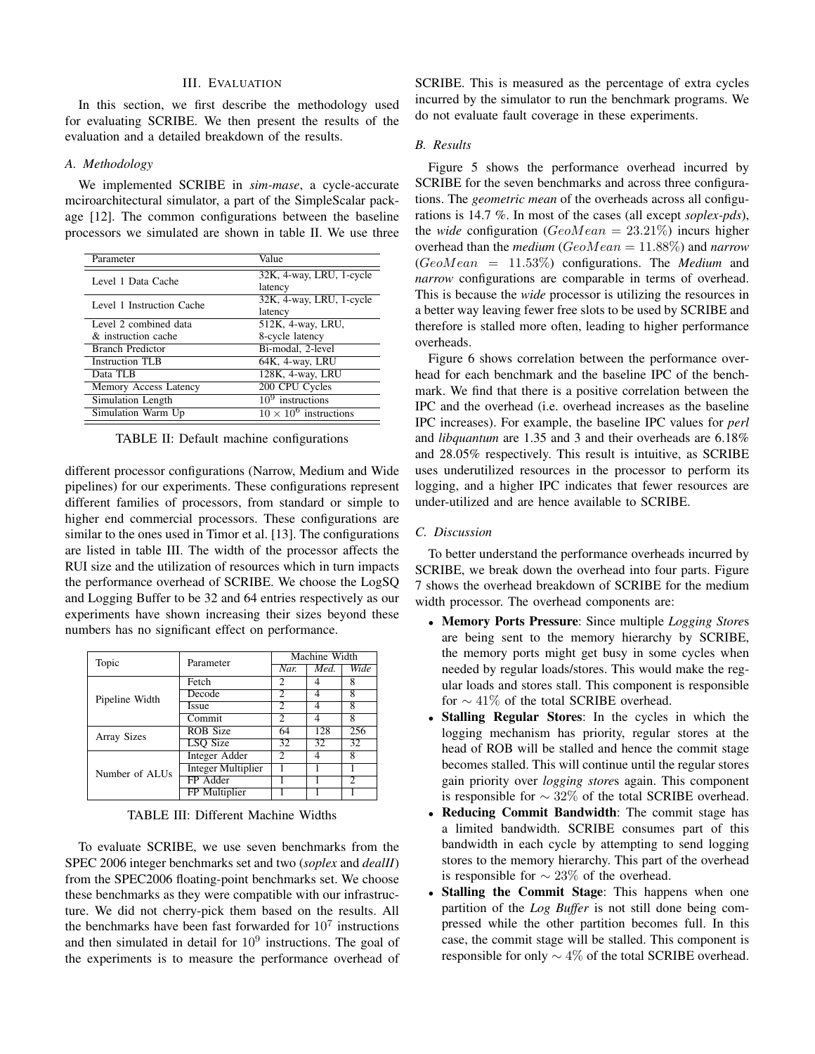#### III. EVALUATION

In this section, we first describe the methodology used for evaluating SCRIBE. We then present the results of the evaluation and a detailed breakdown of the results.

### *A. Methodology*

We implemented SCRIBE in *sim-mase*, a cycle-accurate mciroarchitectural simulator, a part of the SimpleScalar package [12]. The common configurations between the baseline processors we simulated are shown in table II. We use three

| Value                                    |  |  |
|------------------------------------------|--|--|
| 32K, 4-way, LRU, 1-cycle                 |  |  |
| latency                                  |  |  |
| 32K, 4-way, LRU, 1-cycle                 |  |  |
| latency                                  |  |  |
| 512K, 4-way, LRU,                        |  |  |
| 8-cycle latency                          |  |  |
| Bi-modal, 2-level                        |  |  |
| 64K, 4-way, LRU                          |  |  |
| 128K, 4-way, LRU                         |  |  |
| 200 CPU Cycles                           |  |  |
| $109$ instructions                       |  |  |
| $10 \times \overline{10^6}$ instructions |  |  |
|                                          |  |  |

TABLE II: Default machine configurations

different processor configurations (Narrow, Medium and Wide pipelines) for our experiments. These configurations represent different families of processors, from standard or simple to higher end commercial processors. These configurations are similar to the ones used in Timor et al. [13]. The configurations are listed in table III. The width of the processor affects the RUI size and the utilization of resources which in turn impacts the performance overhead of SCRIBE. We choose the LogSQ and Logging Buffer to be 32 and 64 entries respectively as our experiments have shown increasing their sizes beyond these numbers has no significant effect on performance.

| Topic          | Parameter                 | Machine Width            |      |             |
|----------------|---------------------------|--------------------------|------|-------------|
|                |                           | Nar.                     | Med. | <b>Wide</b> |
|                | Fetch                     | 2                        |      | 8           |
| Pipeline Width | Decode                    | $\overline{2}$           | 4    | 8           |
|                | <b>Issue</b>              | 2                        | 4    | 8           |
|                | Commit                    | $\overline{\mathcal{L}}$ | 4    | 8           |
| Array Sizes    | <b>ROB</b> Size           | 64                       | 128  | 256         |
|                | <b>LSO</b> Size           | 32                       | 32   | 32          |
|                | Integer Adder             | $\mathfrak{D}$           | 4    | 8           |
| Number of ALUs | <b>Integer Multiplier</b> |                          |      |             |
|                | FP Adder                  |                          |      | 2           |
|                | FP Multiplier             |                          |      |             |

TABLE III: Different Machine Widths

To evaluate SCRIBE, we use seven benchmarks from the SPEC 2006 integer benchmarks set and two (*soplex* and *dealII*) from the SPEC2006 floating-point benchmarks set. We choose these benchmarks as they were compatible with our infrastructure. We did not cherry-pick them based on the results. All the benchmarks have been fast forwarded for  $10<sup>7</sup>$  instructions and then simulated in detail for  $10<sup>9</sup>$  instructions. The goal of the experiments is to measure the performance overhead of

SCRIBE. This is measured as the percentage of extra cycles incurred by the simulator to run the benchmark programs. We do not evaluate fault coverage in these experiments.

# *B. Results*

Figure 5 shows the performance overhead incurred by SCRIBE for the seven benchmarks and across three configurations. The *geometric mean* of the overheads across all configurations is 14.7 %. In most of the cases (all except *soplex-pds*), the *wide* configuration (*GeoMean* = 23*.*21%) incurs higher overhead than the *medium* (*GeoMean* = 11*.*88%) and *narrow* (*GeoMean* = 11*.*53%) configurations. The *Medium* and *narrow* configurations are comparable in terms of overhead. This is because the *wide* processor is utilizing the resources in a better way leaving fewer free slots to be used by SCRIBE and therefore is stalled more often, leading to higher performance overheads.

Figure 6 shows correlation between the performance overhead for each benchmark and the baseline IPC of the benchmark. We find that there is a positive correlation between the IPC and the overhead (i.e. overhead increases as the baseline IPC increases). For example, the baseline IPC values for *perl* and *libquantum* are 1.35 and 3 and their overheads are 6.18% and 28.05% respectively. This result is intuitive, as SCRIBE uses underutilized resources in the processor to perform its logging, and a higher IPC indicates that fewer resources are under-utilized and are hence available to SCRIBE.

#### *C. Discussion*

To better understand the performance overheads incurred by SCRIBE, we break down the overhead into four parts. Figure 7 shows the overhead breakdown of SCRIBE for the medium width processor. The overhead components are:

- *•* Memory Ports Pressure: Since multiple *Logging Store*s are being sent to the memory hierarchy by SCRIBE, the memory ports might get busy in some cycles when needed by regular loads/stores. This would make the regular loads and stores stall. This component is responsible for  $\sim$  41% of the total SCRIBE overhead.
- **Stalling Regular Stores:** In the cycles in which the logging mechanism has priority, regular stores at the head of ROB will be stalled and hence the commit stage becomes stalled. This will continue until the regular stores gain priority over *logging store*s again. This component is responsible for  $\sim 32\%$  of the total SCRIBE overhead.
- *•* Reducing Commit Bandwidth: The commit stage has a limited bandwidth. SCRIBE consumes part of this bandwidth in each cycle by attempting to send logging stores to the memory hierarchy. This part of the overhead is responsible for  $\sim 23\%$  of the overhead.
- *•* Stalling the Commit Stage: This happens when one partition of the *Log Buffer* is not still done being compressed while the other partition becomes full. In this case, the commit stage will be stalled. This component is responsible for only  $\sim 4\%$  of the total SCRIBE overhead.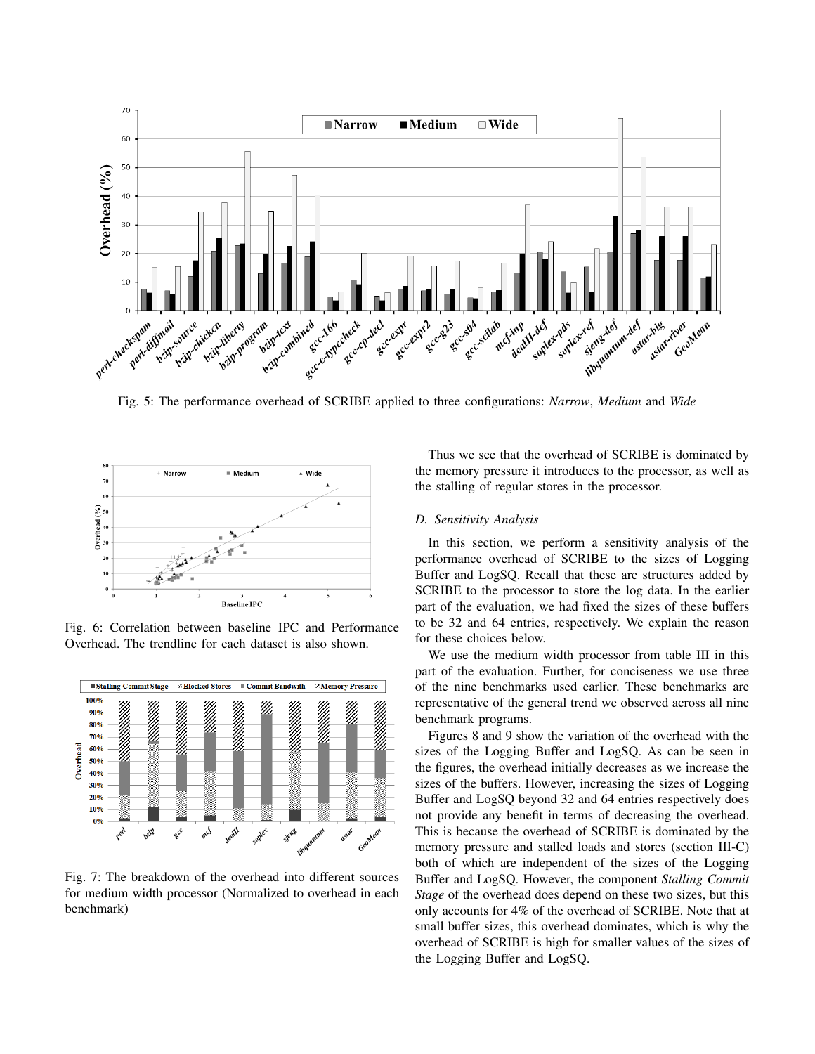

Fig. 5: The performance overhead of SCRIBE applied to three configurations: *Narrow*, *Medium* and *Wide*



Fig. 6: Correlation between baseline IPC and Performance Overhead. The trendline for each dataset is also shown.



Fig. 7: The breakdown of the overhead into different sources for medium width processor (Normalized to overhead in each benchmark)

Thus we see that the overhead of SCRIBE is dominated by the memory pressure it introduces to the processor, as well as the stalling of regular stores in the processor.

#### *D. Sensitivity Analysis*

In this section, we perform a sensitivity analysis of the performance overhead of SCRIBE to the sizes of Logging Buffer and LogSQ. Recall that these are structures added by SCRIBE to the processor to store the log data. In the earlier part of the evaluation, we had fixed the sizes of these buffers to be 32 and 64 entries, respectively. We explain the reason for these choices below.

We use the medium width processor from table III in this part of the evaluation. Further, for conciseness we use three of the nine benchmarks used earlier. These benchmarks are representative of the general trend we observed across all nine benchmark programs.

Figures 8 and 9 show the variation of the overhead with the sizes of the Logging Buffer and LogSQ. As can be seen in the figures, the overhead initially decreases as we increase the sizes of the buffers. However, increasing the sizes of Logging Buffer and LogSQ beyond 32 and 64 entries respectively does not provide any benefit in terms of decreasing the overhead. This is because the overhead of SCRIBE is dominated by the memory pressure and stalled loads and stores (section III-C) both of which are independent of the sizes of the Logging Buffer and LogSQ. However, the component *Stalling Commit Stage* of the overhead does depend on these two sizes, but this only accounts for 4% of the overhead of SCRIBE. Note that at small buffer sizes, this overhead dominates, which is why the overhead of SCRIBE is high for smaller values of the sizes of the Logging Buffer and LogSQ.